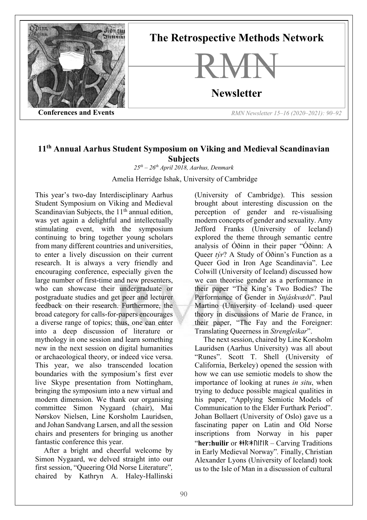

## **11th Annual Aarhus Student Symposium on Viking and Medieval Scandinavian Subjects**

*25th – 26th April 2018, Aarhus, Denmark*

Amelia Herridge Ishak, University of Cambridge

This year's two-day Interdisciplinary Aarhus Student Symposium on Viking and Medieval Scandinavian Subjects, the  $11<sup>th</sup>$  annual edition, was yet again a delightful and intellectually stimulating event, with the symposium continuing to bring together young scholars from many different countries and universities, to enter a lively discussion on their current research. It is always a very friendly and encouraging conference, especially given the large number of first-time and new presenters, who can showcase their undergraduate or postgraduate studies and get peer and lecturer feedback on their research. Furthermore, the broad category for calls-for-papers encourages a diverse range of topics; thus, one can enter into a deep discussion of literature or mythology in one session and learn something new in the next session on digital humanities or archaeological theory, or indeed vice versa. This year, we also transcended location boundaries with the symposium's first ever live Skype presentation from Nottingham, bringing the symposium into a new virtual and modern dimension. We thank our organising committee Simon Nygaard (chair), Mai Nørskov Nielsen, Line Korsholm Lauridsen, and Johan Sandvang Larsen, and all the session chairs and presenters for bringing us another fantastic conference this year.

After a bright and cheerful welcome by Simon Nygaard, we delved straight into our first session, "Queering Old Norse Literature"*,*  chaired by Kathryn A. Haley-Hallinski

(University of Cambridge). This session brought about interesting discussion on the perception of gender and re-visualising modern concepts of gender and sexuality. Amy Jefford Franks (University of Iceland) explored the theme through semantic centre analysis of Óðinn in their paper "Óðinn: A Queer *týr*? A Study of Óðinn's Function as a Queer God in Iron Age Scandinavia". Lee Colwill (University of Iceland) discussed how we can theorise gender as a performance in their paper "The King's Two Bodies? The Performance of Gender in *Snjáskvæði*". Paul Martino (University of Iceland) used queer theory in discussions of Marie de France, in their paper, "The Fay and the Foreigner: Translating Queerness in *Strengleikar*".

The next session, chaired by Line Korsholm Lauridsen (Aarhus University) was all about "Runes". Scott T. Shell (University of California, Berkeley) opened the session with how we can use semiotic models to show the importance of looking at runes *in situ*, when trying to deduce possible magical qualities in his paper, "Applying Semiotic Models of Communication to the Elder Furthark Period". Johan Bollaert (University of Oslo) gave us a fascinating paper on Latin and Old Norse inscriptions from Norway in his paper "**her:huilir** or ᚼᚽᚱ᛬ᚼᚢᛁᛚᛁᚱ *–* Carving Traditions in Early Medieval Norway"*.* Finally, Christian Alexander Lyons (University of Iceland) took us to the Isle of Man in a discussion of cultural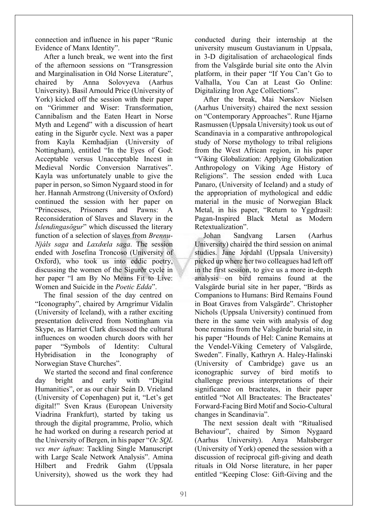connection and influence in his paper "Runic Evidence of Manx Identity".

After a lunch break, we went into the first of the afternoon sessions on "Transgression and Marginalisation in Old Norse Literature", chaired by Anna Solovyeva (Aarhus University). Basil Arnould Price (University of York) kicked off the session with their paper on "Grimmer and Wiser: Transformation, Cannibalism and the Eaten Heart in Norse Myth and Legend" with a discussion of heart eating in the Sigurðr cycle. Next was a paper from Kayla Kemhadjian (University of Nottingham), entitled "In the Eyes of God: Acceptable versus Unacceptable Incest in Medieval Nordic Conversion Narratives". Kayla was unfortunately unable to give the paper in person, so Simon Nygaard stood in for her. Hannah Armstrong (University of Oxford) continued the session with her paper on "Princesses, Prisoners and Pawns: A Reconsideration of Slaves and Slavery in the *Íslendingasögur*" which discussed the literary function of a selection of slaves from *Brennu-Njáls saga* and *Laxdœla saga*. The session ended with Josefina Troncoso (University of Oxford), who took us into eddic poetry, discussing the women of the Sigurðr cycle in her paper "I am By No Means Fit to Live: Women and Suicide in the *Poetic Edda*".

The final session of the day centred on "Iconography", chaired by Arngrímur Vídalín (University of Iceland), with a rather exciting presentation delivered from Nottingham via Skype, as Harriet Clark discussed the cultural influences on wooden church doors with her paper "Symbols of Identity: Cultural Hybridisation in the Iconography of Norwegian Stave Churches".

We started the second and final conference day bright and early with "Digital Humanities", or as our chair Seán D. Vrieland (University of Copenhagen) put it, "Let's get digital!" Sven Kraus (European University Viadrina Frankfurt), started by taking us through the digital programme, Prolio, which he had worked on during a research period at the University of Bergen, in his paper "*Oc SQL vex mer iafnan*: Tackling Single Manuscript with Large Scale Network Analysis". Amina Hilbert and Fredrik Gahm (Uppsala University), showed us the work they had

conducted during their internship at the university museum Gustavianum in Uppsala, in 3-D digitalisation of archaeological finds from the Valsgärde burial site onto the Alvin platform, in their paper "If You Can't Go to Valhalla, You Can at Least Go Online: Digitalizing Iron Age Collections".

After the break, Mai Nørskov Nielsen (Aarhus University) chaired the next session on "Contemporary Approaches". Rune Hjarnø Rasmussen (Uppsala University) took us out of Scandinavia in a comparative anthropological study of Norse mythology to tribal religions from the West African region, in his paper "Viking Globalization: Applying Globalization Anthropology on Viking Age History of Religions". The session ended with Luca Panaro, (University of Iceland) and a study of the appropriation of mythological and eddic material in the music of Norwegian Black Metal, in his paper, "Return to Yggdrasil: Pagan-Inspired Black Metal as Modern Retextualization".

Johan Sandvang Larsen (Aarhus University) chaired the third session on animal studies. Jane Jordahl (Uppsala University) picked up where her two colleagues had left off in the first session, to give us a more in-depth analysis on bird remains found at the Valsgärde burial site in her paper, "Birds as Companions to Humans: Bird Remains Found in Boat Graves from Valsgärde". Christopher Nichols (Uppsala University) continued from there in the same vein with analysis of dog bone remains from the Valsgärde burial site, in his paper "Hounds of Hel: Canine Remains at the Vendel-Viking Cemetery of Valsgärde, Sweden". Finally, Kathryn A. Haley-Halinski (University of Cambridge) gave us an iconographic survey of bird motifs to challenge previous interpretations of their significance on bracteates, in their paper entitled "Not All Bracteates: The Bracteates' Forward-Facing Bird Motif and Socio-Cultural changes in Scandinavia".

The next session dealt with "Ritualised Behaviour", chaired by Simon Nygaard (Aarhus University). Anya Maltsberger (University of York) opened the session with a discussion of reciprocal gift-giving and death rituals in Old Norse literature, in her paper entitled "Keeping Close: Gift-Giving and the